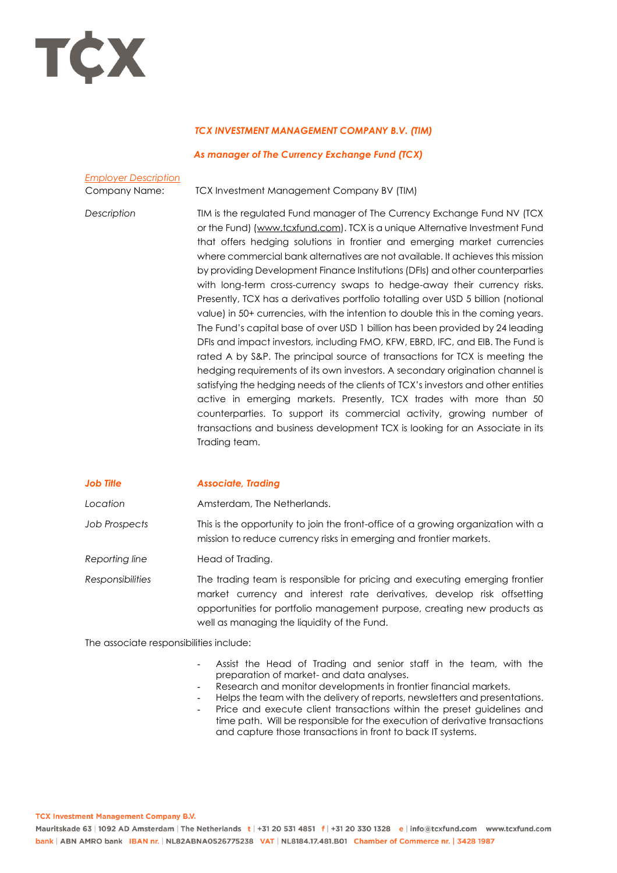

## *TCX INVESTMENT MANAGEMENT COMPANY B.V. (TIM)*

## *As manager of The Currency Exchange Fund (TCX)*

| <b>Employer Description</b> |            |
|-----------------------------|------------|
| Company Name:               | <b>TCX</b> |

Investment Management Company BV (TIM)

*Description* TIM is the regulated Fund manager of The Currency Exchange Fund NV (TCX or the Fund) [\(www.tcxfund.com\)](http://www.tcxfund.com/). TCX is a unique Alternative Investment Fund that offers hedging solutions in frontier and emerging market currencies where commercial bank alternatives are not available. It achieves this mission by providing Development Finance Institutions (DFIs) and other counterparties with long-term cross-currency swaps to hedge-away their currency risks. Presently, TCX has a derivatives portfolio totalling over USD 5 billion (notional value) in 50+ currencies, with the intention to double this in the coming years. The Fund's capital base of over USD 1 billion has been provided by 24 leading DFIs and impact investors, including FMO, KFW, EBRD, IFC, and EIB. The Fund is rated A by S&P. The principal source of transactions for TCX is meeting the hedging requirements of its own investors. A secondary origination channel is satisfying the hedging needs of the clients of TCX's investors and other entities active in emerging markets. Presently, TCX trades with more than 50 counterparties. To support its commercial activity, growing number of transactions and business development TCX is looking for an Associate in its Trading team.

## *Job Title Associate, Trading Location* Amsterdam, The Netherlands. *Job Prospects* This is the opportunity to join the front-office of a growing organization with a mission to reduce currency risks in emerging and frontier markets. *Reporting line* Head of Trading. *Responsibilities* The trading team is responsible for pricing and executing emerging frontier market currency and interest rate derivatives, develop risk offsetting opportunities for portfolio management purpose, creating new products as well as managing the liquidity of the Fund.

The associate responsibilities include:

- Assist the Head of Trading and senior staff in the team, with the preparation of market- and data analyses.
- Research and monitor developments in frontier financial markets.
- Helps the team with the delivery of reports, newsletters and presentations. Price and execute client transactions within the preset guidelines and
- time path. Will be responsible for the execution of derivative transactions and capture those transactions in front to back IT systems.